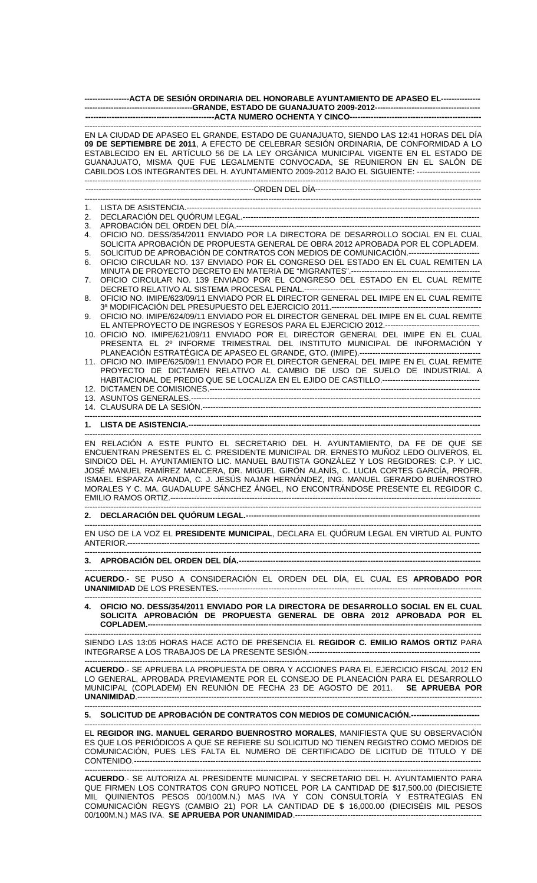|                                                                                                                                                                                                                                                                                                                                                                                                                                                                                                                                 | ------------------ACTA DE SESIÓN ORDINARIA DEL HONORABLE AYUNTAMIENTO DE APASEO EL----------------                                                                                                                                                                |  |
|---------------------------------------------------------------------------------------------------------------------------------------------------------------------------------------------------------------------------------------------------------------------------------------------------------------------------------------------------------------------------------------------------------------------------------------------------------------------------------------------------------------------------------|-------------------------------------------------------------------------------------------------------------------------------------------------------------------------------------------------------------------------------------------------------------------|--|
| EN LA CIUDAD DE APASEO EL GRANDE, ESTADO DE GUANAJUATO, SIENDO LAS 12:41 HORAS DEL DÍA<br>09 DE SEPTIEMBRE DE 2011, A EFECTO DE CELEBRAR SESIÓN ORDINARIA, DE CONFORMIDAD A LO<br>ESTABLECIDO EN EL ARTÍCULO 56 DE LA LEY ORGÁNICA MUNICIPAL VIGENTE EN EL ESTADO DE<br>GUANAJUATO, MISMA QUE FUE LEGALMENTE CONVOCADA, SE REUNIERON EN EL SALÓN DE<br>CABILDOS LOS INTEGRANTES DEL H. AYUNTAMIENTO 2009-2012 BAJO EL SIGUIENTE: ------------------------                                                                       |                                                                                                                                                                                                                                                                   |  |
|                                                                                                                                                                                                                                                                                                                                                                                                                                                                                                                                 |                                                                                                                                                                                                                                                                   |  |
|                                                                                                                                                                                                                                                                                                                                                                                                                                                                                                                                 |                                                                                                                                                                                                                                                                   |  |
| 1.<br>2.                                                                                                                                                                                                                                                                                                                                                                                                                                                                                                                        |                                                                                                                                                                                                                                                                   |  |
| 3.                                                                                                                                                                                                                                                                                                                                                                                                                                                                                                                              |                                                                                                                                                                                                                                                                   |  |
| 4.                                                                                                                                                                                                                                                                                                                                                                                                                                                                                                                              | OFICIO NO. DESS/354/2011 ENVIADO POR LA DIRECTORA DE DESARROLLO SOCIAL EN EL CUAL                                                                                                                                                                                 |  |
|                                                                                                                                                                                                                                                                                                                                                                                                                                                                                                                                 | SOLICITA APROBACIÓN DE PROPUESTA GENERAL DE OBRA 2012 APROBADA POR EL COPLADEM.                                                                                                                                                                                   |  |
| 5.                                                                                                                                                                                                                                                                                                                                                                                                                                                                                                                              | SOLICITUD DE APROBACIÓN DE CONTRATOS CON MEDIOS DE COMUNICACIÓN.---------------------------                                                                                                                                                                       |  |
| 6.                                                                                                                                                                                                                                                                                                                                                                                                                                                                                                                              | OFICIO CIRCULAR NO. 137 ENVIADO POR EL CONGRESO DEL ESTADO EN EL CUAL REMITEN LA                                                                                                                                                                                  |  |
| 7.                                                                                                                                                                                                                                                                                                                                                                                                                                                                                                                              | OFICIO CIRCULAR NO. 139 ENVIADO POR EL CONGRESO DEL ESTADO EN EL CUAL REMITE                                                                                                                                                                                      |  |
|                                                                                                                                                                                                                                                                                                                                                                                                                                                                                                                                 |                                                                                                                                                                                                                                                                   |  |
| 8.                                                                                                                                                                                                                                                                                                                                                                                                                                                                                                                              | OFICIO NO. IMIPE/623/09/11 ENVIADO POR EL DIRECTOR GENERAL DEL IMIPE EN EL CUAL REMITE                                                                                                                                                                            |  |
| 9.                                                                                                                                                                                                                                                                                                                                                                                                                                                                                                                              | OFICIO NO. IMIPE/624/09/11 ENVIADO POR EL DIRECTOR GENERAL DEL IMIPE EN EL CUAL REMITE                                                                                                                                                                            |  |
|                                                                                                                                                                                                                                                                                                                                                                                                                                                                                                                                 |                                                                                                                                                                                                                                                                   |  |
|                                                                                                                                                                                                                                                                                                                                                                                                                                                                                                                                 | 10. OFICIO NO. IMIPE/621/09/11 ENVIADO POR EL DIRECTOR GENERAL DEL IMIPE EN EL CUAL                                                                                                                                                                               |  |
|                                                                                                                                                                                                                                                                                                                                                                                                                                                                                                                                 | PRESENTA EL 2º INFORME TRIMESTRAL DEL INSTITUTO MUNICIPAL DE INFORMACIÓN Y                                                                                                                                                                                        |  |
|                                                                                                                                                                                                                                                                                                                                                                                                                                                                                                                                 | 11. OFICIO NO. IMIPE/625/09/11 ENVIADO POR EL DIRECTOR GENERAL DEL IMIPE EN EL CUAL REMITE                                                                                                                                                                        |  |
|                                                                                                                                                                                                                                                                                                                                                                                                                                                                                                                                 | PROYECTO DE DICTAMEN RELATIVO AL CAMBIO DE USO DE SUELO DE INDUSTRIAL A                                                                                                                                                                                           |  |
|                                                                                                                                                                                                                                                                                                                                                                                                                                                                                                                                 |                                                                                                                                                                                                                                                                   |  |
|                                                                                                                                                                                                                                                                                                                                                                                                                                                                                                                                 |                                                                                                                                                                                                                                                                   |  |
|                                                                                                                                                                                                                                                                                                                                                                                                                                                                                                                                 |                                                                                                                                                                                                                                                                   |  |
|                                                                                                                                                                                                                                                                                                                                                                                                                                                                                                                                 |                                                                                                                                                                                                                                                                   |  |
|                                                                                                                                                                                                                                                                                                                                                                                                                                                                                                                                 |                                                                                                                                                                                                                                                                   |  |
|                                                                                                                                                                                                                                                                                                                                                                                                                                                                                                                                 |                                                                                                                                                                                                                                                                   |  |
| EN RELACIÓN A ESTE PUNTO EL SECRETARIO DEL H. AYUNTAMIENTO, DA FE DE QUE SE<br>ENCUENTRAN PRESENTES EL C. PRESIDENTE MUNICIPAL DR. ERNESTO MUÑOZ LEDO OLIVEROS, EL<br>SINDICO DEL H. AYUNTAMIENTO LIC. MANUEL BAUTISTA GONZÁLEZ Y LOS REGIDORES: C.P. Y LIC.<br>JOSÉ MANUEL RAMÍREZ MANCERA, DR. MIGUEL GIRÓN ALANÍS, C. LUCIA CORTES GARCÍA, PROFR.<br>ISMAEL ESPARZA ARANDA, C. J. JESÚS NAJAR HERNÁNDEZ, ING. MANUEL GERARDO BUENROSTRO<br>MORALES Y C. MA. GUADALUPE SÀNCHEZ ÀNGEL, NO ENCONTRÀNDOSE PRESENTE EL REGIDOR C. |                                                                                                                                                                                                                                                                   |  |
|                                                                                                                                                                                                                                                                                                                                                                                                                                                                                                                                 |                                                                                                                                                                                                                                                                   |  |
|                                                                                                                                                                                                                                                                                                                                                                                                                                                                                                                                 | EN USO DE LA VOZ EL PRESIDENTE MUNICIPAL, DECLARA EL QUÓRUM LEGAL EN VIRTUD AL PUNTO                                                                                                                                                                              |  |
|                                                                                                                                                                                                                                                                                                                                                                                                                                                                                                                                 |                                                                                                                                                                                                                                                                   |  |
|                                                                                                                                                                                                                                                                                                                                                                                                                                                                                                                                 |                                                                                                                                                                                                                                                                   |  |
| ACUERDO.- SE PUSO A CONSIDERACIÓN EL ORDEN DEL DÍA, EL CUAL ES APROBADO POR                                                                                                                                                                                                                                                                                                                                                                                                                                                     |                                                                                                                                                                                                                                                                   |  |
|                                                                                                                                                                                                                                                                                                                                                                                                                                                                                                                                 | 4. OFICIO NO. DESS/354/2011 ENVIADO POR LA DIRECTORA DE DESARROLLO SOCIAL EN EL CUAL<br>SOLICITA APROBACIÓN DE PROPUESTA GENERAL DE OBRA 2012 APROBADA POR EL                                                                                                     |  |
|                                                                                                                                                                                                                                                                                                                                                                                                                                                                                                                                 | SIENDO LAS 13:05 HORAS HACE ACTO DE PRESENCIA EL REGIDOR C. EMILIO RAMOS ORTIZ PARA                                                                                                                                                                               |  |
|                                                                                                                                                                                                                                                                                                                                                                                                                                                                                                                                 | <b>ACUERDO.- SE APRUEBA LA PROPUESTA DE OBRA Y ACCIONES PARA EL EJERCICIO FISCAL 2012 EN</b><br>LO GENERAL, APROBADA PREVIAMENTE POR EL CONSEJO DE PLANEACIÓN PARA EL DESARROLLO<br>MUNICIPAL (COPLADEM) EN REUNIÓN DE FECHA 23 DE AGOSTO DE 2011. SE APRUEBA POR |  |
|                                                                                                                                                                                                                                                                                                                                                                                                                                                                                                                                 | 5. SOLICITUD DE APROBACIÓN DE CONTRATOS CON MEDIOS DE COMUNICACIÓN.-------------------------                                                                                                                                                                      |  |
|                                                                                                                                                                                                                                                                                                                                                                                                                                                                                                                                 |                                                                                                                                                                                                                                                                   |  |
|                                                                                                                                                                                                                                                                                                                                                                                                                                                                                                                                 | EL REGIDOR ING. MANUEL GERARDO BUENROSTRO MORALES, MANIFIESTA QUE SU OBSERVACIÓN<br>ES QUE LOS PERIÓDICOS A QUE SE REFIERE SU SOLICITUD NO TIENEN REGISTRO COMO MEDIOS DE<br>COMUNICACIÓN, PUES LES FALTA EL NUMERO DE CERTIFICADO DE LICITUD DE TITULO Y DE      |  |
|                                                                                                                                                                                                                                                                                                                                                                                                                                                                                                                                 | ACUERDO.- SE AUTORIZA AL PRESIDENTE MUNICIPAL Y SECRETARIO DEL H. AYUNTAMIENTO PARA                                                                                                                                                                               |  |

**ACUERDO**.- SE AUTORIZA AL PRESIDENTE MUNICIPAL Y SECRETARIO DEL H. AYUNTAMIENTO PARA QUE FIRMEN LOS CONTRATOS CON GRUPO NOTICEL POR LA CANTIDAD DE \$17,500.00 (DIECISIETE MIL QUINIENTOS PESOS 00/100M.N.) MAS IVA Y CON CONSULTORÍA Y ESTRATEGIAS EN COMUNICACIÓN REGYS (CAMBIO 21) POR LA CANTIDAD DE \$ 16,000.00 (DIECISÉIS MIL PESOS 00/100M.N.) MAS IVA. **SE APRUEBA POR UNANIMIDAD**.-----------------------------------------------------------------------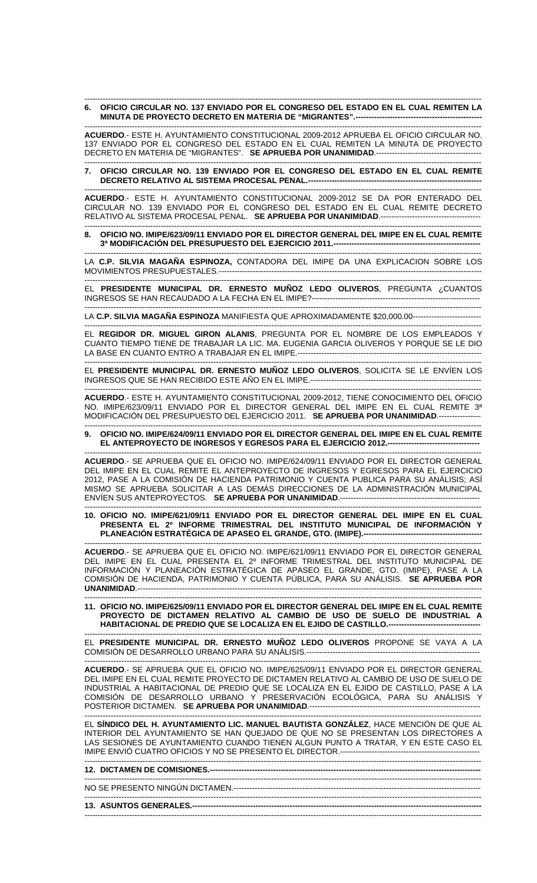## ------------------------------------------------------------------------------------------------------------------------------------------------------- **6. OFICIO CIRCULAR NO. 137 ENVIADO POR EL CONGRESO DEL ESTADO EN EL CUAL REMITEN LA MINUTA DE PROYECTO DECRETO EN MATERIA DE "MIGRANTES".------------------------------------------------**

------------------------------------------------------------------------------------------------------------------------------------------------------- **ACUERDO**.- ESTE H. AYUNTAMIENTO CONSTITUCIONAL 2009-2012 APRUEBA EL OFICIO CIRCULAR NO. 137 ENVIADO POR EL CONGRESO DEL ESTADO EN EL CUAL REMITEN LA MINUTA DE PROYECTO DECRETO EN MATERIA DE "MIGRANTES". **SE APRUEBA POR UNANIMIDAD**.----------------------------------------

### ------------------------------------------------------------------------------------------------------------------------------------------------------- **7. OFICIO CIRCULAR NO. 139 ENVIADO POR EL CONGRESO DEL ESTADO EN EL CUAL REMITE DECRETO RELATIVO AL SISTEMA PROCESAL PENAL.--**

------------------------------------------------------------------------------------------------------------------------------------------------------- **ACUERDO**.- ESTE H. AYUNTAMIENTO CONSTITUCIONAL 2009-2012 SE DA POR ENTERADO DEL CIRCULAR NO. 139 ENVIADO POR EL CONGRESO DEL ESTADO EN EL CUAL REMITE DECRETO RELATIVO AL SISTEMA PROCESAL PENAL. **SE APRUEBA POR UNANIMIDAD**.-------------------------------------- -------------------------------------------------------------------------------------------------------------------------------------------------------

# **8. OFICIO NO. IMIPE/623/09/11 ENVIADO POR EL DIRECTOR GENERAL DEL IMIPE EN EL CUAL REMITE**  3ª MODIFICACIÓN DEL PRESUPUESTO DEL EJERCICIO 2011.---

------------------------------------------------------------------------------------------------------------------------------------------------------- LA **C.P. SILVIA MAGAÑA ESPINOZA,** CONTADORA DEL IMIPE DA UNA EXPLICACION SOBRE LOS MOVIMIENTOS PRESUPUESTALES.----------------------------------------------------------------------------------------------------

------------------------------------------------------------------------------------------------------------------------------------------------------- EL **PRESIDENTE MUNICIPAL DR. ERNESTO MUÑOZ LEDO OLIVEROS**, PREGUNTA ¿CUANTOS INGRESOS SE HAN RECAUDADO A LA FECHA EN EL IMIPE?----------------------------------------------------------------

------------------------------------------------------------------------------------------------------------------------------------------------------- LA **C.P. SILVIA MAGAÑA ESPINOZA** MANIFIESTA QUE APROXIMADAMENTE \$20,000.00--------------------------

------------------------------------------------------------------------------------------------------------------------------------------------------- EL **REGIDOR DR. MIGUEL GIRON ALANIS**, PREGUNTA POR EL NOMBRE DE LOS EMPLEADOS Y CUANTO TIEMPO TIENE DE TRABAJAR LA LIC. MA. EUGENIA GARCIA OLIVEROS Y PORQUE SE LE DIO LA BASE EN CUANTO ENTRO A TRABAJAR EN EL IMIPE.----------------------------------------------------------------------

------------------------------------------------------------------------------------------------------------------------------------------------------- EL **PRESIDENTE MUNICIPAL DR. ERNESTO MUÑOZ LEDO OLIVEROS**, SOLICITA SE LE ENVÍEN LOS INGRESOS QUE SE HAN RECIBIDO ESTE AÑO EN EL IMIPE.-----------------------------------------------------------------

------------------------------------------------------------------------------------------------------------------------------------------------------- **ACUERDO**.- ESTE H. AYUNTAMIENTO CONSTITUCIONAL 2009-2012, TIENE CONOCIMIENTO DEL OFICIO NO. IMIPE/623/09/11 ENVIADO POR EL DIRECTOR GENERAL DEL IMIPE EN EL CUAL REMITE 3ª MODIFICACIÓN DEL PRESUPUESTO DEL EJERCICIO 2011. **SE APRUEBA POR UNANIMIDAD**.----------------

#### ------------------------------------------------------------------------------------------------------------------------------------------------------- **9. OFICIO NO. IMIPE/624/09/11 ENVIADO POR EL DIRECTOR GENERAL DEL IMIPE EN EL CUAL REMITE EL ANTEPROYECTO DE INGRESOS Y EGRESOS PARA EL EJERCICIO 2012.-----------------------------------**

------------------------------------------------------------------------------------------------------------------------------------------------------- **ACUERDO**.- SE APRUEBA QUE EL OFICIO NO. IMIPE/624/09/11 ENVIADO POR EL DIRECTOR GENERAL DEL IMIPE EN EL CUAL REMITE EL ANTEPROYECTO DE INGRESOS Y EGRESOS PARA EL EJERCICIO 2012, PASE A LA COMISIÓN DE HACIENDA PATRIMONIO Y CUENTA PUBLICA PARA SU ANÁLISIS; ASÍ MISMO SE APRUEBA SOLICITAR A LAS DEMÁS DIRECCIONES DE LA ADMINISTRACIÓN MUNICIPAL ENVÍEN SUS ANTEPROYECTOS. **SE APRUEBA POR UNANIMIDAD.---**

------------------------------------------------------------------------------------------------------------------------------------------------------- **10. OFICIO NO. IMIPE/621/09/11 ENVIADO POR EL DIRECTOR GENERAL DEL IMIPE EN EL CUAL PRESENTA EL 2º INFORME TRIMESTRAL DEL INSTITUTO MUNICIPAL DE INFORMACIÓN Y PLANEACIÓN ESTRATÉGICA DE APASEO EL GRANDE, GTO. (IMIPE).--**

------------------------------------------------------------------------------------------------------------------------------------------------------- **ACUERDO**.- SE APRUEBA QUE EL OFICIO NO. IMIPE/621/09/11 ENVIADO POR EL DIRECTOR GENERAL DEL IMIPE EN EL CUAL PRESENTA EL 2º INFORME TRIMESTRAL DEL INSTITUTO MUNICIPAL DE INFORMACIÓN Y PLANEACIÓN ESTRATÉGICA DE APASEO EL GRANDE, GTO. (IMIPE), PASE A LA COMISIÓN DE HACIENDA, PATRIMONIO Y CUENTA PÚBLICA, PARA SU ANÁLISIS. **SE APRUEBA POR UNANIMIDAD**.-----------------------------------------------------------------------------------------------------------------------------------

**11. OFICIO NO. IMIPE/625/09/11 ENVIADO POR EL DIRECTOR GENERAL DEL IMIPE EN EL CUAL REMITE PROYECTO DE DICTAMEN RELATIVO AL CAMBIO DE USO DE SUELO DE INDUSTRIAL A HABITACIONAL DE PREDIO QUE SE LOCALIZA EN EL EJIDO DE CASTILLO.-----------------------------------** 

------------------------------------------------------------------------------------------------------------------------------------------------------- EL **PRESIDENTE MUNICIPAL DR. ERNESTO MUÑOZ LEDO OLIVEROS** PROPONE SE VAYA A LA COMISIÓN DE DESARROLLO URBANO PARA SU ANÁLISIS.------------------------------------------------------------------

------------------------------------------------------------------------------------------------------------------------------------------------------- **ACUERDO**.- SE APRUEBA QUE EL OFICIO NO. IMIPE/625/09/11 ENVIADO POR EL DIRECTOR GENERAL DEL IMIPE EN EL CUAL REMITE PROYECTO DE DICTAMEN RELATIVO AL CAMBIO DE USO DE SUELO DE INDUSTRIAL A HABITACIONAL DE PREDIO QUE SE LOCALIZA EN EL EJIDO DE CASTILLO, PASE A LA COMISIÓN DE DESARROLLO URBANO Y PRESERVACIÓN ECOLÓGICA, PARA SU ANÁLISIS Y POSTERIOR DICTAMEN. **SE APRUEBA POR UNANIMIDAD**.-----------------------------------------------------------------

------------------------------------------------------------------------------------------------------------------------------------------------------- EL **SÍNDICO DEL H. AYUNTAMIENTO LIC. MANUEL BAUTISTA GONZÁLEZ**, HACE MENCIÓN DE QUE AL INTERIOR DEL AYUNTAMIENTO SE HAN QUEJADO DE QUE NO SE PRESENTAN LOS DIRECTORES A LAS SESIONES DE AYUNTAMIENTO CUANDO TIENEN ALGUN PUNTO A TRATAR, Y EN ESTE CASO EL IMIPE ENVIÓ CUATRO OFICIOS Y NO SE PRESENTO EL DIRECTOR.----------------------